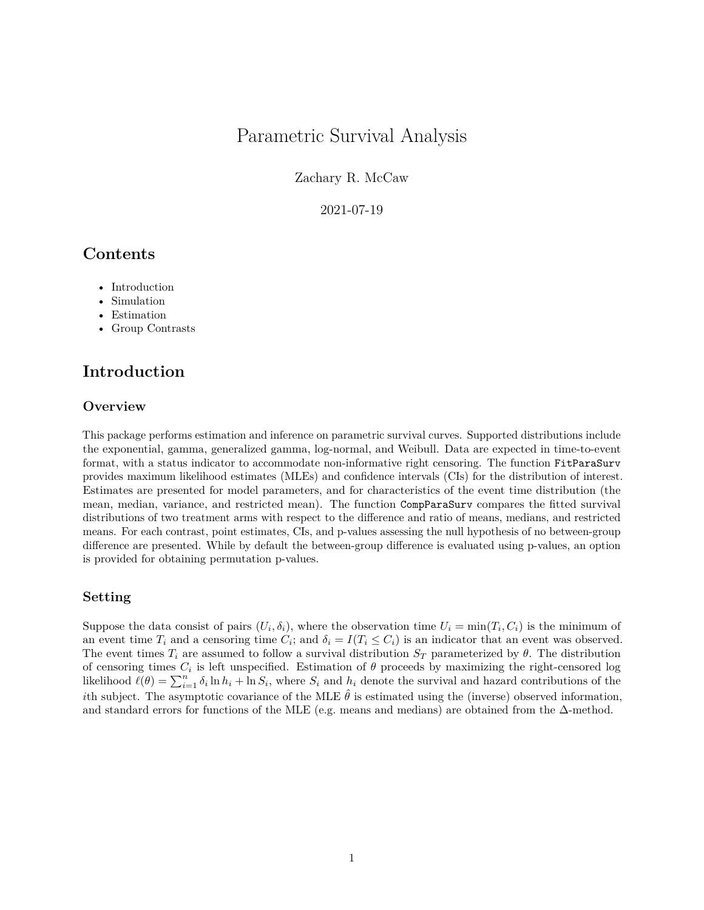# Parametric Survival Analysis

Zachary R. McCaw

2021-07-19

# **Contents**

- [Introduction](#page-0-0)
- Simulation
- [Estimation](#page-0-1)
- <span id="page-0-0"></span>• [Group Contrasts](#page-4-0)

# **Introduction**

## **Overview**

This package performs estimation and inference on parametric survival curves. Supported distributions include the exponential, gamma, generalized gamma, log-normal, and Weibull. Data are expected in time-to-event format, with a status indicator to accommodate non-informative right censoring. The function FitParaSurv provides maximum likelihood estimates (MLEs) and confidence intervals (CIs) for the distribution of interest. Estimates are presented for model parameters, and for characteristics of the event time distribution (the mean, median, variance, and restricted mean). The function CompParaSurv compares the fitted survival distributions of two treatment arms with respect to the difference and ratio of means, medians, and restricted means. For each contrast, point estimates, CIs, and p-values assessing the null hypothesis of no between-group difference are presented. While by default the between-group difference is evaluated using p-values, an option is provided for obtaining permutation p-values.

## **Setting**

<span id="page-0-1"></span>Suppose the data consist of pairs  $(U_i, \delta_i)$ , where the observation time  $U_i = \min(T_i, C_i)$  is the minimum of an event time  $T_i$  and a censoring time  $C_i$ ; and  $\delta_i = I(T_i \le C_i)$  is an indicator that an event was observed. The event times  $T_i$  are assumed to follow a survival distribution  $S_T$  parameterized by  $\theta$ . The distribution of censoring times  $C_i$  is left unspecified. Estimation of  $\theta$  proceeds by maximizing the right-censored log likelihood  $\ell(\theta) = \sum_{i=1}^{n} \delta_i \ln h_i + \ln S_i$ , where  $S_i$  and  $h_i$  denote the survival and hazard contributions of the *i*th subject. The asymptotic covariance of the MLE  $\hat{\theta}$  is estimated using the (inverse) observed information, and standard errors for functions of the MLE (e.g. means and medians) are obtained from the  $\Delta$ -method.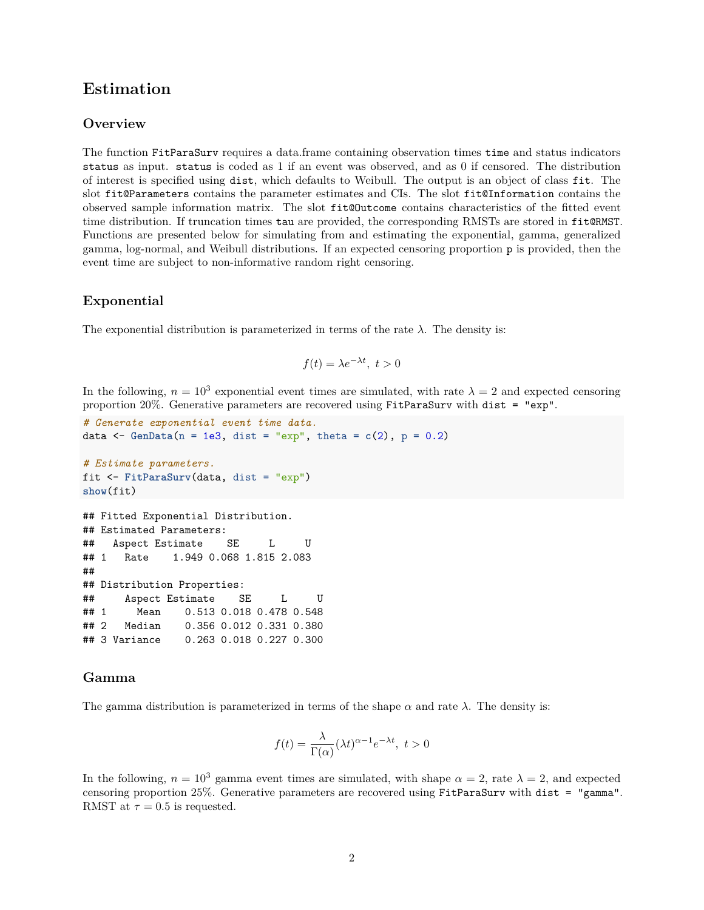# **Estimation**

### <span id="page-1-0"></span>**Overview**

The function FitParaSurv requires a data.frame containing observation times time and status indicators status as input. status is coded as 1 if an event was observed, and as 0 if censored. The distribution of interest is specified using dist, which defaults to Weibull. The output is an object of class fit. The slot fit@Parameters contains the parameter estimates and CIs. The slot fit@Information contains the observed sample information matrix. The slot fit@Outcome contains characteristics of the fitted event time distribution. If truncation times tau are provided, the corresponding RMSTs are stored in fit@RMST. Functions are presented below for simulating from and estimating the exponential, gamma, generalized gamma, log-normal, and Weibull distributions. If an expected censoring proportion p is provided, then the event time are subject to non-informative random right censoring.

### **Exponential**

The exponential distribution is parameterized in terms of the rate  $\lambda$ . The density is:

$$
f(t) = \lambda e^{-\lambda t}, \ t > 0
$$

In the following,  $n = 10^3$  exponential event times are simulated, with rate  $\lambda = 2$  and expected censoring proportion 20%. Generative parameters are recovered using FitParaSurv with dist = "exp".

```
# Generate exponential event time data.
data \leq GenData(n = 1e3, dist = "exp", theta = c(2), p = 0.2)
# Estimate parameters.
fit <- FitParaSurv(data, dist = "exp")
show(fit)
## Fitted Exponential Distribution.
## Estimated Parameters:
## Aspect Estimate SE L U
## 1 Rate 1.949 0.068 1.815 2.083
##
## Distribution Properties:
## Aspect Estimate SE L U
## 1 Mean 0.513 0.018 0.478 0.548
```
## ## 2 Median 0.356 0.012 0.331 0.380 ## 3 Variance 0.263 0.018 0.227 0.300

#### **Gamma**

The gamma distribution is parameterized in terms of the shape  $\alpha$  and rate  $\lambda$ . The density is:

$$
f(t) = \frac{\lambda}{\Gamma(\alpha)} (\lambda t)^{\alpha - 1} e^{-\lambda t}, \ t > 0
$$

In the following,  $n = 10^3$  gamma event times are simulated, with shape  $\alpha = 2$ , rate  $\lambda = 2$ , and expected censoring proportion 25%. Generative parameters are recovered using FitParaSurv with dist = "gamma". RMST at  $\tau = 0.5$  is requested.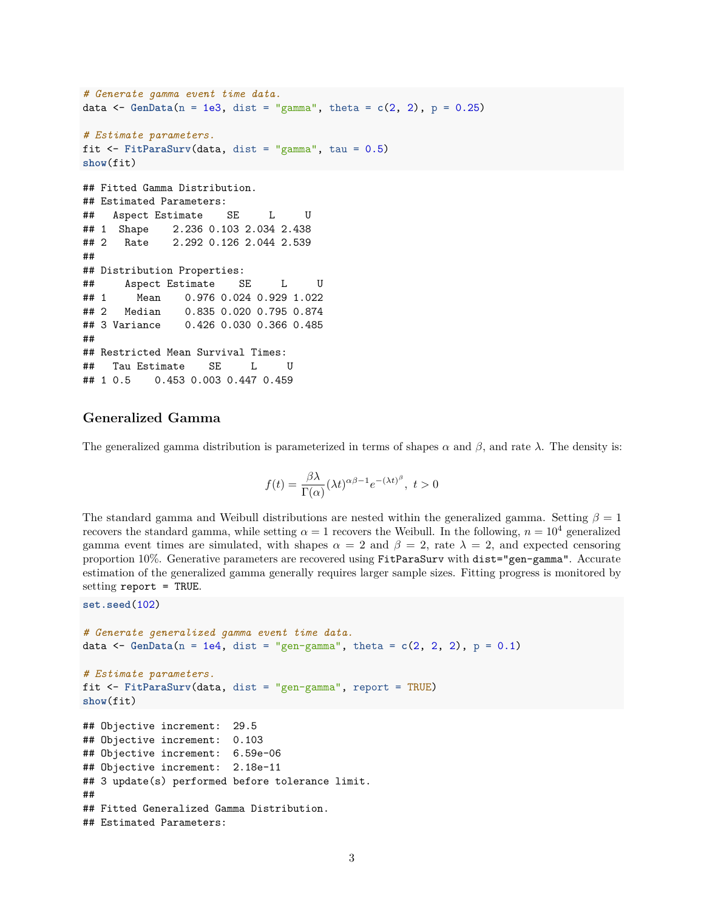```
# Generate gamma event time data.
data \leq GenData(n = 1e3, dist = "gamma", theta = c(2, 2), p = 0.25)
# Estimate parameters.
fit \leq FitParaSurv(data, dist = "gamma", tau = 0.5)
show(fit)
## Fitted Gamma Distribution.
## Estimated Parameters:
## Aspect Estimate SE L U
## 1 Shape 2.236 0.103 2.034 2.438
## 2 Rate 2.292 0.126 2.044 2.539
##
## Distribution Properties:
## Aspect Estimate SE L U
## 1 Mean 0.976 0.024 0.929 1.022
## 2 Median 0.835 0.020 0.795 0.874
## 3 Variance 0.426 0.030 0.366 0.485
##
## Restricted Mean Survival Times:
## Tau Estimate SE L U
## 1 0.5 0.453 0.003 0.447 0.459
```
# **Generalized Gamma**

The generalized gamma distribution is parameterized in terms of shapes  $\alpha$  and  $\beta$ , and rate  $\lambda$ . The density is:

$$
f(t) = \frac{\beta \lambda}{\Gamma(\alpha)} (\lambda t)^{\alpha \beta - 1} e^{-(\lambda t)^{\beta}}, \ t > 0
$$

The standard gamma and Weibull distributions are nested within the generalized gamma. Setting *β* = 1 recovers the standard gamma, while setting  $\alpha = 1$  recovers the Weibull. In the following,  $n = 10^4$  generalized gamma event times are simulated, with shapes  $\alpha = 2$  and  $\beta = 2$ , rate  $\lambda = 2$ , and expected censoring proportion 10%. Generative parameters are recovered using FitParaSurv with dist="gen-gamma". Accurate estimation of the generalized gamma generally requires larger sample sizes. Fitting progress is monitored by setting report = TRUE.

```
set.seed(102)
```

```
# Generate generalized gamma event time data.
data \leq GenData(n = 1e4, dist = "gen-gamma", theta = c(2, 2, 2), p = 0.1)
# Estimate parameters.
fit <- FitParaSurv(data, dist = "gen-gamma", report = TRUE)
show(fit)
## Objective increment: 29.5
## Objective increment: 0.103
## Objective increment: 6.59e-06
## Objective increment: 2.18e-11
## 3 update(s) performed before tolerance limit.
##
## Fitted Generalized Gamma Distribution.
## Estimated Parameters:
```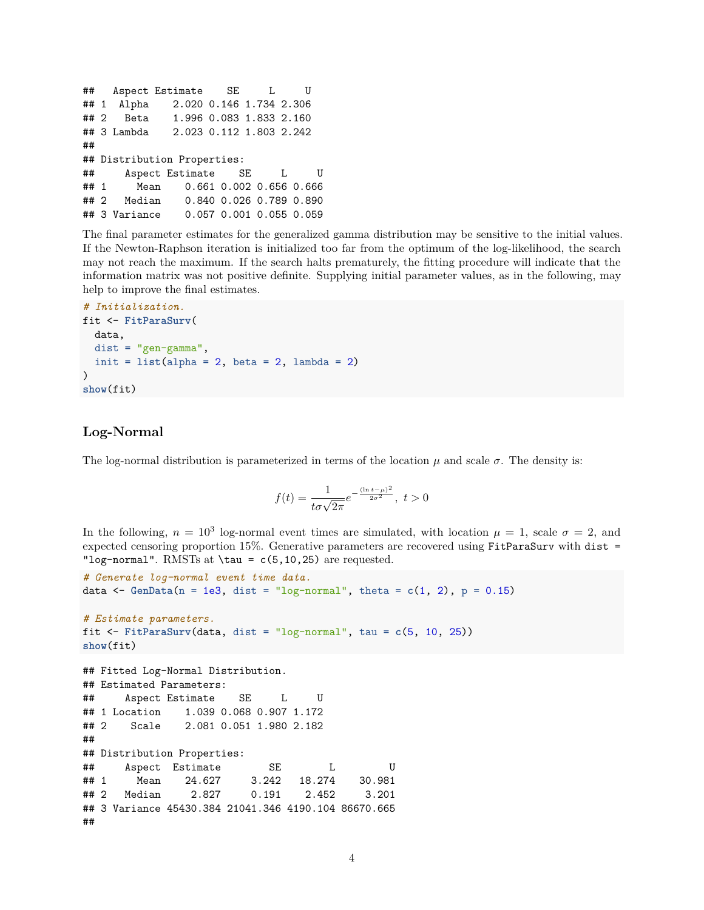```
## Aspect Estimate SE L U
## 1 Alpha 2.020 0.146 1.734 2.306
## 2 Beta 1.996 0.083 1.833 2.160
## 3 Lambda 2.023 0.112 1.803 2.242
##
## Distribution Properties:
## Aspect Estimate SE L U
## 1 Mean 0.661 0.002 0.656 0.666
## 2 Median 0.840 0.026 0.789 0.890
## 3 Variance 0.057 0.001 0.055 0.059
```
The final parameter estimates for the generalized gamma distribution may be sensitive to the initial values. If the Newton-Raphson iteration is initialized too far from the optimum of the log-likelihood, the search may not reach the maximum. If the search halts prematurely, the fitting procedure will indicate that the information matrix was not positive definite. Supplying initial parameter values, as in the following, may help to improve the final estimates.

```
# Initialization.
fit <- FitParaSurv(
  data,
  dist = "gen-gamma",init = list(alpha = 2, beta = 2, lambda = 2))
show(fit)
```
# **Log-Normal**

The log-normal distribution is parameterized in terms of the location  $\mu$  and scale  $\sigma$ . The density is:

$$
f(t) = \frac{1}{t\sigma\sqrt{2\pi}}e^{-\frac{(\ln t - \mu)^2}{2\sigma^2}}, \ t > 0
$$

In the following,  $n = 10^3$  log-normal event times are simulated, with location  $\mu = 1$ , scale  $\sigma = 2$ , and expected censoring proportion 15%. Generative parameters are recovered using FitParaSurv with dist = "log-normal". RMSTs at  $\tan = c(5, 10, 25)$  are requested.

```
# Generate log-normal event time data.
data \leq GenData(n = 1e3, dist = "log-normal", theta = c(1, 2), p = 0.15)
# Estimate parameters.
fit <- FitParaSurv(data, dist = "log-normal", tau = c(5, 10, 25))
show(fit)
## Fitted Log-Normal Distribution.
## Estimated Parameters:
## Aspect Estimate SE L U
## 1 Location 1.039 0.068 0.907 1.172
## 2 Scale 2.081 0.051 1.980 2.182
##
## Distribution Properties:
## Aspect Estimate SE L U
## 1 Mean 24.627 3.242 18.274 30.981
## 2 Median 2.827 0.191 2.452 3.201
## 3 Variance 45430.384 21041.346 4190.104 86670.665
##
```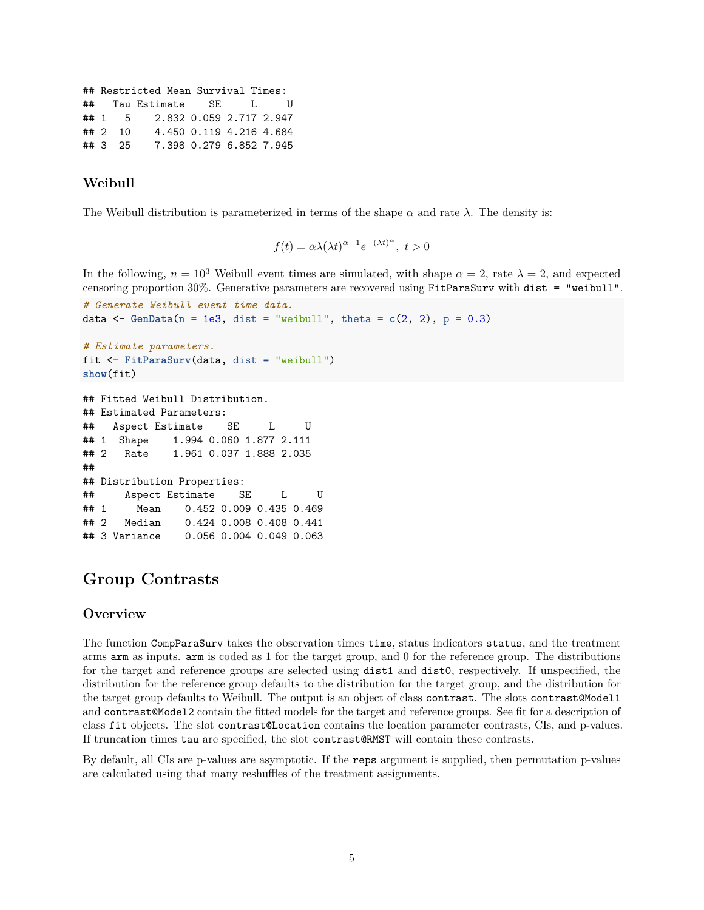```
## Restricted Mean Survival Times:
## Tau Estimate SE L U
## 1 5 2.832 0.059 2.717 2.947
## 2 10 4.450 0.119 4.216 4.684
## 3 25 7.398 0.279 6.852 7.945
```
# **Weibull**

The Weibull distribution is parameterized in terms of the shape  $\alpha$  and rate  $\lambda$ . The density is:

$$
f(t) = \alpha \lambda (\lambda t)^{\alpha - 1} e^{-(\lambda t)^{\alpha}}, \ t > 0
$$

In the following,  $n = 10^3$  Weibull event times are simulated, with shape  $\alpha = 2$ , rate  $\lambda = 2$ , and expected censoring proportion 30%. Generative parameters are recovered using FitParaSurv with dist = "weibull".

```
# Generate Weibull event time data.
data \leq GenData(n = 1e3, dist = "weibull", theta = c(2, 2), p = 0.3)
# Estimate parameters.
```

```
fit <- FitParaSurv(data, dist = "weibull")
show(fit)
```

```
## Fitted Weibull Distribution.
## Estimated Parameters:
## Aspect Estimate SE L U
## 1 Shape 1.994 0.060 1.877 2.111
## 2 Rate 1.961 0.037 1.888 2.035
##
## Distribution Properties:
## Aspect Estimate SE L U
## 1 Mean 0.452 0.009 0.435 0.469
## 2 Median 0.424 0.008 0.408 0.441
## 3 Variance 0.056 0.004 0.049 0.063
```
# <span id="page-4-0"></span>**Group Contrasts**

## **Overview**

The function CompParaSurv takes the observation times time, status indicators status, and the treatment arms arm as inputs. arm is coded as 1 for the target group, and 0 for the reference group. The distributions for the target and reference groups are selected using dist1 and dist0, respectively. If unspecified, the distribution for the reference group defaults to the distribution for the target group, and the distribution for the target group defaults to Weibull. The output is an object of class contrast. The slots contrast@Model1 and contrast@Model2 contain the fitted models for the target and reference groups. See [fit](#page-1-0) for a description of class fit objects. The slot contrast@Location contains the location parameter contrasts, CIs, and p-values. If truncation times tau are specified, the slot contrast@RMST will contain these contrasts.

By default, all CIs are p-values are asymptotic. If the reps argument is supplied, then permutation p-values are calculated using that many reshuffles of the treatment assignments.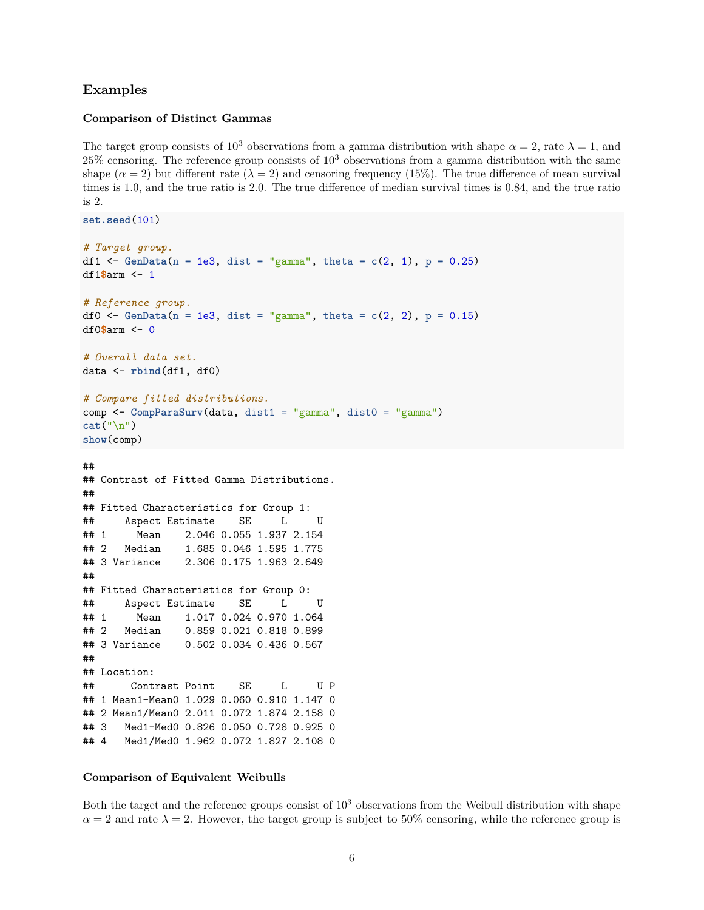# **Examples**

**set.seed**(101)

#### **Comparison of Distinct Gammas**

The target group consists of 10<sup>3</sup> observations from a gamma distribution with shape  $\alpha = 2$ , rate  $\lambda = 1$ , and  $25\%$  censoring. The reference group consists of  $10^3$  observations from a gamma distribution with the same shape  $(\alpha = 2)$  but different rate  $(\lambda = 2)$  and censoring frequency (15%). The true difference of mean survival times is 1*.*0, and the true ratio is 2*.*0. The true difference of median survival times is 0*.*84, and the true ratio is 2.

```
# Target group.
df1 <- GenData(n = 1e3, dist = "gamma", theta = c(2, 1), p = 0.25)df1$arm <- 1
# Reference group.
df0 <- GenData(n = 1e3, dist = "gamma", theta = c(2, 2), p = 0.15)
df0$arm <- 0
# Overall data set.
data <- rbind(df1, df0)
# Compare fitted distributions.
comp <- CompParaSurv(data, dist1 = "gamma", dist0 = "gamma")
cat("\n")
show(comp)
##
## Contrast of Fitted Gamma Distributions.
##
## Fitted Characteristics for Group 1:
## Aspect Estimate SE L U
## 1 Mean 2.046 0.055 1.937 2.154
## 2 Median 1.685 0.046 1.595 1.775
## 3 Variance 2.306 0.175 1.963 2.649
##
## Fitted Characteristics for Group 0:
## Aspect Estimate SE L U
## 1 Mean 1.017 0.024 0.970 1.064
## 2 Median 0.859 0.021 0.818 0.899
## 3 Variance 0.502 0.034 0.436 0.567
##
## Location:
## Contrast Point SE L U P
## 1 Mean1-Mean0 1.029 0.060 0.910 1.147 0
## 2 Mean1/Mean0 2.011 0.072 1.874 2.158 0
## 3 Med1-Med0 0.826 0.050 0.728 0.925 0
## 4 Med1/Med0 1.962 0.072 1.827 2.108 0
```
### **Comparison of Equivalent Weibulls**

Both the target and the reference groups consist of  $10<sup>3</sup>$  observations from the Weibull distribution with shape  $\alpha = 2$  and rate  $\lambda = 2$ . However, the target group is subject to 50% censoring, while the reference group is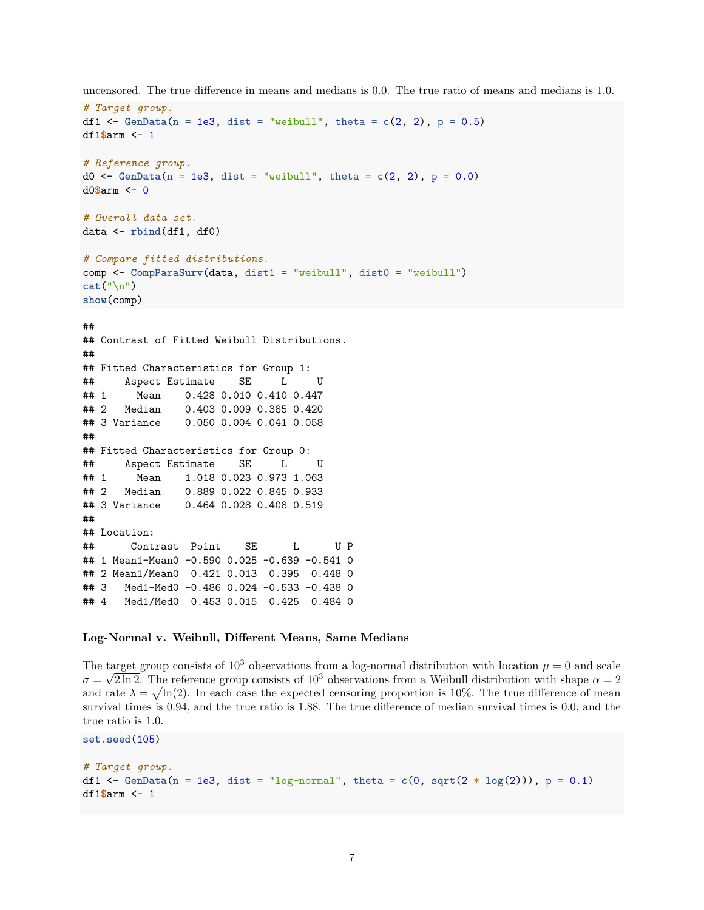```
# Target group.
df1 <- GenData(n = 1e3, dist = "weibull", theta = c(2, 2), p = 0.5)df1$arm <- 1
# Reference group.
d0 <- GenData(n = 1e3, dist = "weibull", theta = c(2, 2), p = 0.0)
d0$arm <- 0
# Overall data set.
data <- rbind(df1, df0)
# Compare fitted distributions.
comp <- CompParaSurv(data, dist1 = "weibull", dist0 = "weibull")
cat("\n")
show(comp)
##
## Contrast of Fitted Weibull Distributions.
##
## Fitted Characteristics for Group 1:
## Aspect Estimate SE L U
## 1 Mean 0.428 0.010 0.410 0.447
## 2 Median 0.403 0.009 0.385 0.420
## 3 Variance 0.050 0.004 0.041 0.058
##
## Fitted Characteristics for Group 0:
## Aspect Estimate SE L U
## 1 Mean 1.018 0.023 0.973 1.063
## 2 Median 0.889 0.022 0.845 0.933
## 3 Variance 0.464 0.028 0.408 0.519
##
## Location:
## Contrast Point SE L U P
## 1 Mean1-Mean0 -0.590 0.025 -0.639 -0.541 0
## 2 Mean1/Mean0 0.421 0.013 0.395 0.448 0
## 3 Med1-Med0 -0.486 0.024 -0.533 -0.438 0
## 4 Med1/Med0 0.453 0.015 0.425 0.484 0
```
uncensored. The true difference in means and medians is 0*.*0. The true ratio of means and medians is 1*.*0.

#### **Log-Normal v. Weibull, Different Means, Same Medians**

**set.seed**(105)

The target group consists of 10<sup>3</sup> observations from a log-normal distribution with location  $\mu = 0$  and scale  $\sigma = \sqrt{2 \ln 2}$ . The reference group consists of 10<sup>3</sup> observations from a Weibull distribution with shape  $\alpha = 2$ and rate  $\lambda = \sqrt{\ln(2)}$ . In each case the expected censoring proportion is 10%. The true difference of mean survival times is 0*.*94, and the true ratio is 1*.*88. The true difference of median survival times is 0*.*0, and the true ratio is 1*.*0.

```
# Target group.
df1 \leftarrow GenData(n = 1e3, dist = "log-normal", theta = c(0, \text{sqrt}(2 * \log(2))), p = 0.1)df1$arm <- 1
```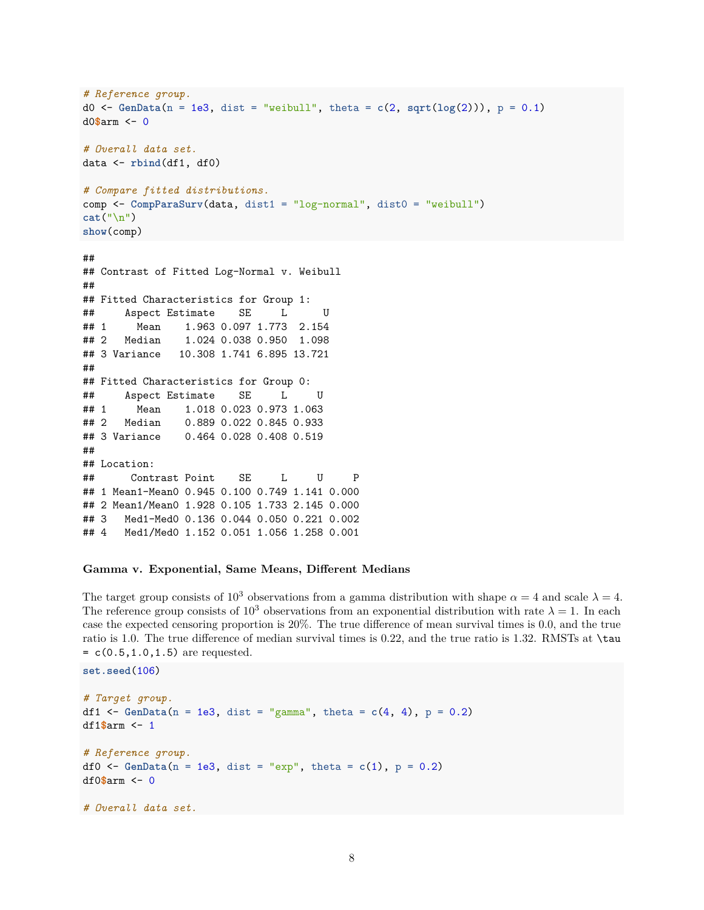```
# Reference group.
d0 <- GenData(n = 1e3, dist = "weibull", theta = c(2, sqrt(log(2))), p = 0.1)
d0$arm <- 0
# Overall data set.
data <- rbind(df1, df0)
# Compare fitted distributions.
comp <- CompParaSurv(data, dist1 = "log-normal", dist0 = "weibull")
cat("\n")
show(comp)
##
## Contrast of Fitted Log-Normal v. Weibull
##
## Fitted Characteristics for Group 1:
## Aspect Estimate SE L U
## 1 Mean 1.963 0.097 1.773 2.154
## 2 Median 1.024 0.038 0.950 1.098
## 3 Variance 10.308 1.741 6.895 13.721
##
## Fitted Characteristics for Group 0:
## Aspect Estimate SE L U
## 1 Mean 1.018 0.023 0.973 1.063
## 2 Median 0.889 0.022 0.845 0.933
## 3 Variance 0.464 0.028 0.408 0.519
##
## Location:
## Contrast Point SE L U P
## 1 Mean1-Mean0 0.945 0.100 0.749 1.141 0.000
## 2 Mean1/Mean0 1.928 0.105 1.733 2.145 0.000
## 3 Med1-Med0 0.136 0.044 0.050 0.221 0.002
## 4 Med1/Med0 1.152 0.051 1.056 1.258 0.001
```
#### **Gamma v. Exponential, Same Means, Different Medians**

**set.seed**(106)

The target group consists of 10<sup>3</sup> observations from a gamma distribution with shape  $\alpha = 4$  and scale  $\lambda = 4$ . The reference group consists of  $10^3$  observations from an exponential distribution with rate  $\lambda = 1$ . In each case the expected censoring proportion is 20%. The true difference of mean survival times is 0*.*0, and the true ratio is 1*.*0. The true difference of median survival times is 0*.*22, and the true ratio is 1*.*32. RMSTs at \tau  $= c(0.5, 1.0, 1.5)$  are requested.

```
# Target group.
df1 <- GenData(n = 1e3, dist = "gamma", theta = c(4, 4), p = 0.2)
df1$arm <- 1
# Reference group.
df0 \leftarrow GenData(n = 1e3, dist = "exp", theta = c(1), p = 0.2)
df0$arm <- 0
# Overall data set.
```